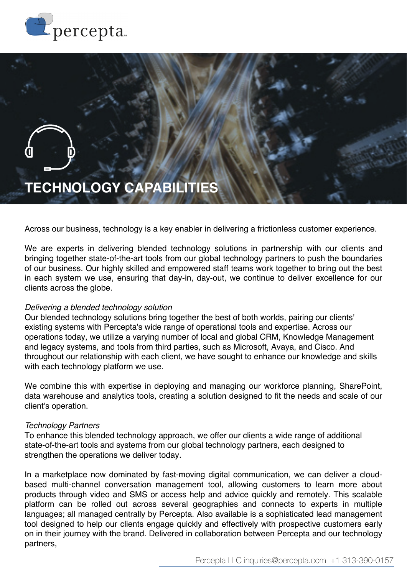



Across our business, technology is a key enabler in delivering a frictionless customer experience.

We are experts in delivering blended technology solutions in partnership with our clients and bringing together state-of-the-art tools from our global technology partners to push the boundaries of our business. Our highly skilled and empowered staff teams work together to bring out the best in each system we use, ensuring that day-in, day-out, we continue to deliver excellence for our clients across the globe.

## *Delivering a blended technology solution*

Our blended technology solutions bring together the best of both worlds, pairing our clients' existing systems with Percepta's wide range of operational tools and expertise. Across our operations today, we utilize a varying number of local and global CRM, Knowledge Management and legacy systems, and tools from third parties, such as Microsoft, Avaya, and Cisco. And throughout our relationship with each client, we have sought to enhance our knowledge and skills with each technology platform we use.

We combine this with expertise in deploying and managing our workforce planning, SharePoint, data warehouse and analytics tools, creating a solution designed to fit the needs and scale of our client's operation.

## *Technology Partners*

To enhance this blended technology approach, we offer our clients a wide range of additional state-of-the-art tools and systems from our global technology partners, each designed to strengthen the operations we deliver today.

In a marketplace now dominated by fast-moving digital communication, we can deliver a cloudbased multi-channel conversation management tool, allowing customers to learn more about products through video and SMS or access help and advice quickly and remotely. This scalable platform can be rolled out across several geographies and connects to experts in multiple languages; all managed centrally by Percepta. Also available is a sophisticated lead management tool designed to help our clients engage quickly and effectively with prospective customers early on in their journey with the brand. Delivered in collaboration between Percepta and our technology partners,